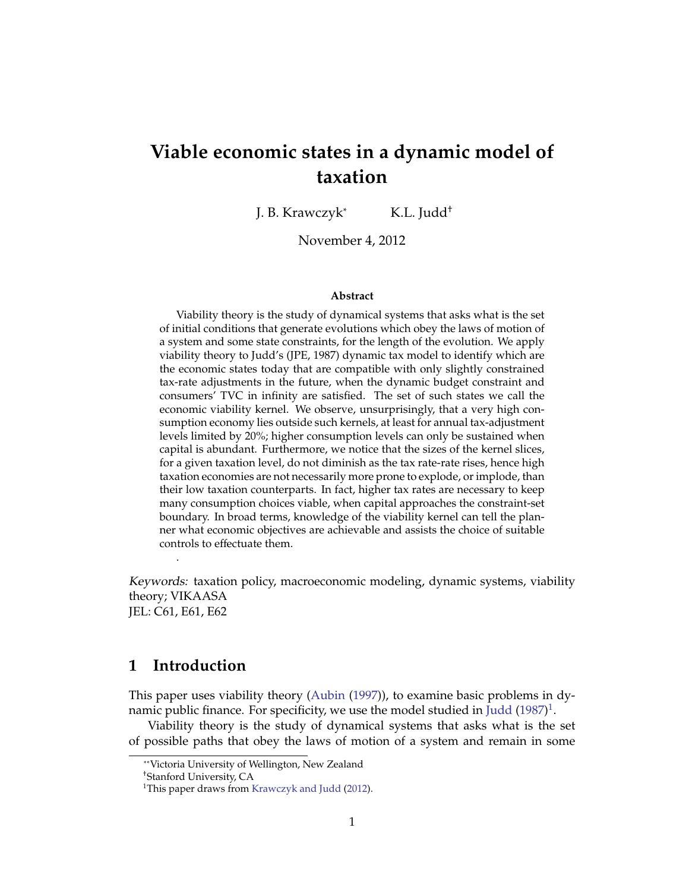# **Viable economic states in a dynamic model of taxation**

J. B. Krawczyk<sup>∗</sup> K.L. Judd†

November 4, 2012

#### **Abstract**

Viability theory is the study of dynamical systems that asks what is the set of initial conditions that generate evolutions which obey the laws of motion of a system and some state constraints, for the length of the evolution. We apply viability theory to Judd's (JPE, 1987) dynamic tax model to identify which are the economic states today that are compatible with only slightly constrained tax-rate adjustments in the future, when the dynamic budget constraint and consumers' TVC in infinity are satisfied. The set of such states we call the economic viability kernel. We observe, unsurprisingly, that a very high consumption economy lies outside such kernels, at least for annual tax-adjustment levels limited by 20%; higher consumption levels can only be sustained when capital is abundant. Furthermore, we notice that the sizes of the kernel slices, for a given taxation level, do not diminish as the tax rate-rate rises, hence high taxation economies are not necessarily more prone to explode, or implode, than their low taxation counterparts. In fact, higher tax rates are necessary to keep many consumption choices viable, when capital approaches the constraint-set boundary. In broad terms, knowledge of the viability kernel can tell the planner what economic objectives are achievable and assists the choice of suitable controls to effectuate them.

Keywords: taxation policy, macroeconomic modeling, dynamic systems, viability theory; VIKAASA JEL: C61, E61, E62

### **1 Introduction**

.

This paper uses viability theory [\(Aubin](#page-20-0) [\(1997\)](#page-20-0)), to examine basic problems in dy-namic public finance. For specificity, we use the model studied in [Judd](#page-21-0) [\(1987\)](#page-21-0) $^1$  $^1$ .

Viability theory is the study of dynamical systems that asks what is the set of possible paths that obey the laws of motion of a system and remain in some

<sup>∗∗</sup>Victoria University of Wellington, New Zealand

<sup>†</sup>Stanford University, CA

<span id="page-0-0"></span><sup>&</sup>lt;sup>1</sup>This paper draws from [Krawczyk and Judd](#page-21-1) [\(2012\)](#page-21-1).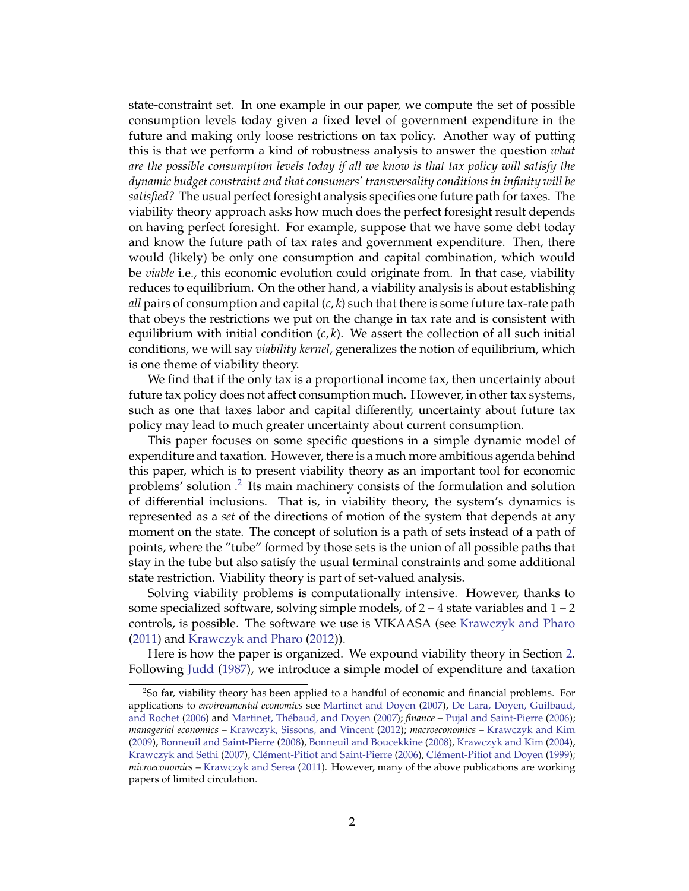state-constraint set. In one example in our paper, we compute the set of possible consumption levels today given a fixed level of government expenditure in the future and making only loose restrictions on tax policy. Another way of putting this is that we perform a kind of robustness analysis to answer the question *what are the possible consumption levels today if all we know is that tax policy will satisfy the dynamic budget constraint and that consumers' transversality conditions in infinity will be satisfied?* The usual perfect foresight analysis specifies one future path for taxes. The viability theory approach asks how much does the perfect foresight result depends on having perfect foresight. For example, suppose that we have some debt today and know the future path of tax rates and government expenditure. Then, there would (likely) be only one consumption and capital combination, which would be *viable* i.e., this economic evolution could originate from. In that case, viability reduces to equilibrium. On the other hand, a viability analysis is about establishing *all* pairs of consumption and capital (*c*, *k*) such that there is some future tax-rate path that obeys the restrictions we put on the change in tax rate and is consistent with equilibrium with initial condition  $(c, k)$ . We assert the collection of all such initial conditions, we will say *viability kernel*, generalizes the notion of equilibrium, which is one theme of viability theory.

We find that if the only tax is a proportional income tax, then uncertainty about future tax policy does not affect consumption much. However, in other tax systems, such as one that taxes labor and capital differently, uncertainty about future tax policy may lead to much greater uncertainty about current consumption.

This paper focuses on some specific questions in a simple dynamic model of expenditure and taxation. However, there is a much more ambitious agenda behind this paper, which is to present viability theory as an important tool for economic problems' solution  $.2$  $.2$  Its main machinery consists of the formulation and solution of differential inclusions. That is, in viability theory, the system's dynamics is represented as a *set* of the directions of motion of the system that depends at any moment on the state. The concept of solution is a path of sets instead of a path of points, where the "tube" formed by those sets is the union of all possible paths that stay in the tube but also satisfy the usual terminal constraints and some additional state restriction. Viability theory is part of set-valued analysis.

Solving viability problems is computationally intensive. However, thanks to some specialized software, solving simple models, of  $2 - 4$  state variables and  $1 - 2$ controls, is possible. The software we use is VIKAASA (see [Krawczyk and Pharo](#page-21-2) [\(2011\)](#page-21-2) and [Krawczyk and Pharo](#page-21-3) [\(2012\)](#page-21-3)).

Here is how the paper is organized. We expound viability theory in Section [2.](#page-2-0) Following [Judd](#page-21-0) [\(1987\)](#page-21-0), we introduce a simple model of expenditure and taxation

<span id="page-1-0"></span><sup>2</sup>So far, viability theory has been applied to a handful of economic and financial problems. For applications to *environmental economics* see [Martinet and Doyen](#page-22-0) [\(2007\)](#page-22-0), [De Lara, Doyen, Guilbaud,](#page-21-4) [and Rochet](#page-21-4) [\(2006\)](#page-22-2) and Martinet, Thébaud, and Doyen [\(2007\)](#page-22-1); *finance* – [Pujal and Saint-Pierre](#page-22-2) (2006); *managerial economics* – [Krawczyk, Sissons, and Vincent](#page-22-3) [\(2012\)](#page-22-3); *macroeconomics* – [Krawczyk and Kim](#page-21-5) [\(2009\)](#page-21-5), [Bonneuil and Saint-Pierre](#page-20-1) [\(2008\)](#page-20-1), [Bonneuil and Boucekkine](#page-20-2) [\(2008\)](#page-20-2), [Krawczyk and Kim](#page-21-6) [\(2004\)](#page-21-6), [Krawczyk and Sethi](#page-21-7) [\(2007\)](#page-21-7), Clément-Pitiot and Saint-Pierre [\(2006\)](#page-20-3), Clément-Pitiot and Doyen [\(1999\)](#page-20-4); *microeconomics* – [Krawczyk and Serea](#page-21-8) [\(2011\)](#page-21-8). However, many of the above publications are working papers of limited circulation.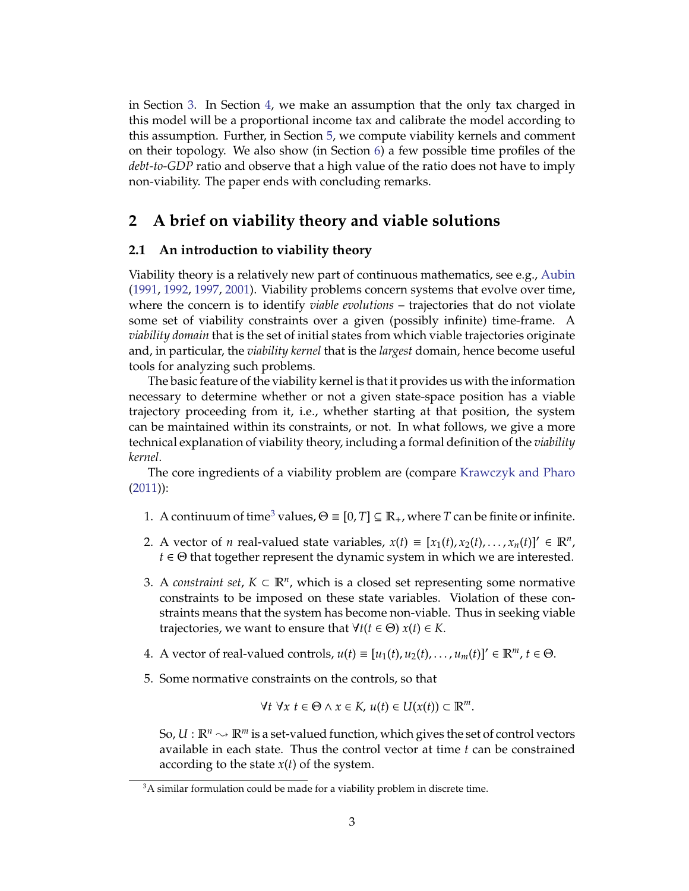in Section [3.](#page-5-0) In Section [4,](#page-8-0) we make an assumption that the only tax charged in this model will be a proportional income tax and calibrate the model according to this assumption. Further, in Section [5,](#page-10-0) we compute viability kernels and comment on their topology. We also show (in Section [6\)](#page-18-0) a few possible time profiles of the *debt-to-GDP* ratio and observe that a high value of the ratio does not have to imply non-viability. The paper ends with concluding remarks.

# <span id="page-2-0"></span>**2 A brief on viability theory and viable solutions**

#### <span id="page-2-2"></span>**2.1 An introduction to viability theory**

Viability theory is a relatively new part of continuous mathematics, see e.g., [Aubin](#page-20-5) [\(1991,](#page-20-5) [1992,](#page-20-6) [1997,](#page-20-0) [2001\)](#page-20-7). Viability problems concern systems that evolve over time, where the concern is to identify *viable evolutions* – trajectories that do not violate some set of viability constraints over a given (possibly infinite) time-frame. A *viability domain* that is the set of initial states from which viable trajectories originate and, in particular, the *viability kernel* that is the *largest* domain, hence become useful tools for analyzing such problems.

The basic feature of the viability kernel is that it provides us with the information necessary to determine whether or not a given state-space position has a viable trajectory proceeding from it, i.e., whether starting at that position, the system can be maintained within its constraints, or not. In what follows, we give a more technical explanation of viability theory, including a formal definition of the *viability kernel*.

The core ingredients of a viability problem are (compare [Krawczyk and Pharo](#page-21-2) [\(2011\)](#page-21-2)):

- 1. A continuum of time<sup>[3](#page-2-1)</sup> values,  $\Theta = [0, T] \subseteq \mathbb{R}_+$ , where *T* can be finite or infinite.
- 2. A vector of *n* real-valued state variables,  $x(t) \equiv [x_1(t), x_2(t), \dots, x_n(t)]' \in \mathbb{R}^n$ ,  $t \in \Theta$  that together represent the dynamic system in which we are interested.
- 3. A *constraint set*,  $K \subset \mathbb{R}^n$ , which is a closed set representing some normative constraints to be imposed on these state variables. Violation of these constraints means that the system has become non-viable. Thus in seeking viable trajectories, we want to ensure that  $\forall t (t \in \Theta)$   $x(t) \in K$ .
- 4. A vector of real-valued controls,  $u(t) \equiv [u_1(t), u_2(t), \ldots, u_m(t)]' \in \mathbb{R}^m$ ,  $t \in \Theta$ .
- 5. Some normative constraints on the controls, so that

$$
\forall t \ \forall x \ t \in \Theta \land x \in K, \ u(t) \in U(x(t)) \subset \mathbb{R}^m.
$$

So,  $U: \mathbb{R}^n \to \mathbb{R}^m$  is a set-valued function, which gives the set of control vectors available in each state. Thus the control vector at time *t* can be constrained according to the state *x*(*t*) of the system.

<span id="page-2-1"></span><sup>&</sup>lt;sup>3</sup>A similar formulation could be made for a viability problem in discrete time.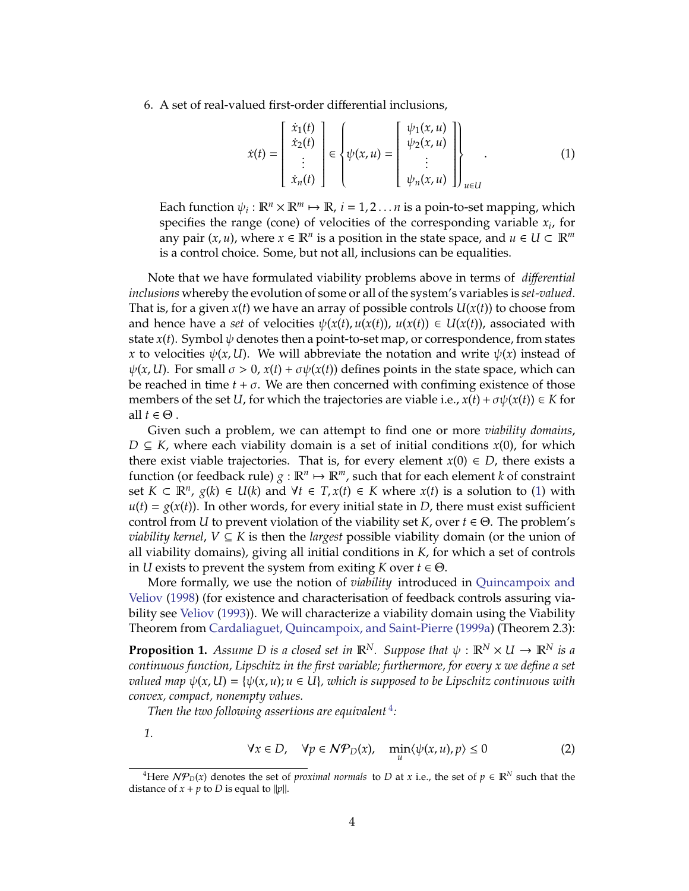6. A set of real-valued first-order differential inclusions,

<span id="page-3-0"></span>
$$
\dot{x}(t) = \begin{bmatrix} \dot{x}_1(t) \\ \dot{x}_2(t) \\ \vdots \\ \dot{x}_n(t) \end{bmatrix} \in \left\{ \psi(x, u) = \begin{bmatrix} \psi_1(x, u) \\ \psi_2(x, u) \\ \vdots \\ \psi_n(x, u) \end{bmatrix} \right\}_{u \in U} \tag{1}
$$

Each function  $\psi_i : \mathbb{R}^n \times \mathbb{R}^m \mapsto \mathbb{R}$ ,  $i = 1, 2 \dots n$  is a poin-to-set mapping, which specifies the range (cone) of velocities of the corresponding variable *x<sup>i</sup>* , for any pair  $(x, u)$ , where  $x \in \mathbb{R}^n$  is a position in the state space, and  $u \in U \subset \mathbb{R}^m$ is a control choice. Some, but not all, inclusions can be equalities.

Note that we have formulated viability problems above in terms of *di*ff*erential inclusions* whereby the evolution of some or all of the system's variables is *set-valued*. That is, for a given  $x(t)$  we have an array of possible controls  $U(x(t))$  to choose from and hence have a *set* of velocities  $\psi(x(t), u(x(t)), u(x(t)) \in U(x(t))$ , associated with state  $x(t)$ . Symbol  $\psi$  denotes then a point-to-set map, or correspondence, from states *x* to velocities  $\psi(x, U)$ . We will abbreviate the notation and write  $\psi(x)$  instead of  $\psi(x, U)$ . For small  $\sigma > 0$ ,  $x(t) + \sigma \psi(x(t))$  defines points in the state space, which can be reached in time  $t + \sigma$ . We are then concerned with confiming existence of those members of the set *U*, for which the trajectories are viable i.e.,  $x(t) + \sigma \psi(x(t)) \in K$  for all  $t \in \Theta$ .

Given such a problem, we can attempt to find one or more *viability domains*, *D* ⊆ *K*, where each viability domain is a set of initial conditions *x*(0), for which there exist viable trajectories. That is, for every element  $x(0) \in D$ , there exists a function (or feedback rule)  $g : \mathbb{R}^n \mapsto \mathbb{R}^m$ , such that for each element *k* of constraint set *K* ⊂  $\mathbb{R}^n$ , *g*(*k*) ∈ *U*(*k*) and  $\forall t$  ∈ *T*, *x*(*t*) ∈ *K* where *x*(*t*) is a solution to [\(1\)](#page-3-0) with  $u(t) = g(x(t))$ . In other words, for every initial state in *D*, there must exist sufficient control from *U* to prevent violation of the viability set *K*, over  $t \in \Theta$ . The problem's *viability kernel*, *V* ⊆ *K* is then the *largest* possible viability domain (or the union of all viability domains), giving all initial conditions in *K*, for which a set of controls in *U* exists to prevent the system from exiting *K* over  $t \in \Theta$ .

More formally, we use the notion of *viability* introduced in [Quincampoix and](#page-22-4) [Veliov](#page-22-4) [\(1998\)](#page-22-4) (for existence and characterisation of feedback controls assuring viability see [Veliov](#page-22-5) [\(1993\)](#page-22-5)). We will characterize a viability domain using the Viability Theorem from [Cardaliaguet, Quincampoix, and Saint-Pierre](#page-20-8) [\(1999a\)](#page-20-8) (Theorem 2.3):

**Proposition 1.** *Assume D is a closed set in*  $\mathbb{R}^N$ *. Suppose that*  $\psi$  :  $\mathbb{R}^N \times U \to \mathbb{R}^N$  *is a continuous function, Lipschitz in the first variable; furthermore, for every x we define a set valued map*  $\psi(x, U) = {\psi(x, u)}$ ;  $u \in U$ *, which is supposed to be Lipschitz continuous with convex, compact, nonempty values.*

*Then the two following assertions are equivalent* [4](#page-3-1) *:*

<span id="page-3-3"></span>*1.*

<span id="page-3-2"></span>
$$
\forall x \in D, \quad \forall p \in \mathcal{NP}_D(x), \quad \min_u \langle \psi(x, u), p \rangle \le 0 \tag{2}
$$

<span id="page-3-1"></span><sup>&</sup>lt;sup>4</sup>Here  $N\mathcal{P}_D(x)$  denotes the set of *proximal normals* to *D* at *x* i.e., the set of  $p \in \mathbb{R}^N$  such that the distance of  $x + p$  to *D* is equal to  $||p||$ .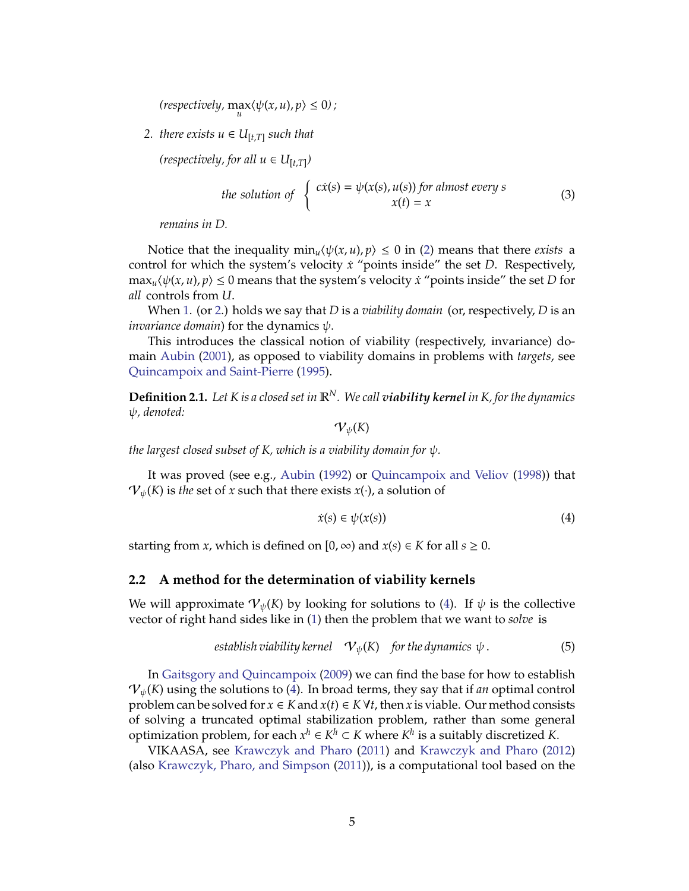$\langle \text{respectively, } \max_u \langle \psi(x, u), p \rangle \leq 0 \rangle$ ;

<span id="page-4-0"></span>*2. there exists*  $u ∈ U_{[t,T]}$  *such that* 

 $(respectively, for all  $u \in U_{[t,T]})$$ 

the solution of 
$$
\begin{cases} c\dot{x}(s) = \psi(x(s), u(s)) \text{ for almost every } s \\ x(t) = x \end{cases}
$$
 (3)

*remains in D.*

Notice that the inequality  $\min_{u} \langle \psi(x, u), p \rangle \leq 0$  in [\(2\)](#page-3-2) means that there *exists* a control for which the system's velocity *x*˙ "points inside" the set *D*. Respectively,  $\max_{u} \langle \psi(x, u), p \rangle \leq 0$  means that the system's velocity *x*<sup>*'*</sup> points inside" the set *D* for *all* controls from *U*.

When [1.](#page-3-3) (or [2.](#page-4-0)) holds we say that *D* is a *viability domain* (or, respectively, *D* is an *invariance domain*) for the dynamics  $\psi$ .

This introduces the classical notion of viability (respectively, invariance) domain [Aubin](#page-20-7) [\(2001\)](#page-20-7), as opposed to viability domains in problems with *targets*, see [Quincampoix and Saint-Pierre](#page-22-6) [\(1995\)](#page-22-6).

**Definition 2.1.** *Let K is a closed set in* R*N. We call viability kernel in K, for the dynamics* ψ*, denoted:*

 $\mathcal{V}_{\psi}(K)$ 

*the largest closed subset of K, which is a viability domain for* ψ*.*

It was proved (see e.g., [Aubin](#page-20-6) [\(1992\)](#page-20-6) or [Quincampoix and Veliov](#page-22-4) [\(1998\)](#page-22-4)) that  $\mathcal{V}_{\psi}(K)$  is *the* set of *x* such that there exists *x*(·), a solution of

<span id="page-4-1"></span>
$$
\dot{x}(s) \in \psi(x(s))\tag{4}
$$

starting from *x*, which is defined on  $[0, \infty)$  and  $x(s) \in K$  for all  $s \ge 0$ .

#### **2.2 A method for the determination of viability kernels**

We will approximate  $V_{\psi}(K)$  by looking for solutions to [\(4\)](#page-4-1). If  $\psi$  is the collective vector of right hand sides like in [\(1\)](#page-3-0) then the problem that we want to *solve* is

$$
establish \tilde{~} is a \tilde{~} is a \tilde{~} is a \tilde{~} is a
$$
\n
$$
V_{\psi}(K) \quad \textit{for the dynamics } \psi \, .
$$
\n
$$
\tag{5}
$$

In [Gaitsgory and Quincampoix](#page-21-9) [\(2009\)](#page-21-9) we can find the base for how to establish  ${\cal V}_{\psi}(K)$  using the solutions to [\(4\)](#page-4-1). In broad terms, they say that if *an* optimal control problem can be solved for  $x \in K$  and  $x(t) \in K \forall t$ , then  $x$  is viable. Our method consists of solving a truncated optimal stabilization problem, rather than some general optimization problem, for each  $x^h \in K^h \subset K$  where  $K^h$  is a suitably discretized *K*.

VIKAASA, see [Krawczyk and Pharo](#page-21-2) [\(2011\)](#page-21-2) and [Krawczyk and Pharo](#page-21-3) [\(2012\)](#page-21-3) (also [Krawczyk, Pharo, and Simpson](#page-21-10) [\(2011\)](#page-21-10)), is a computational tool based on the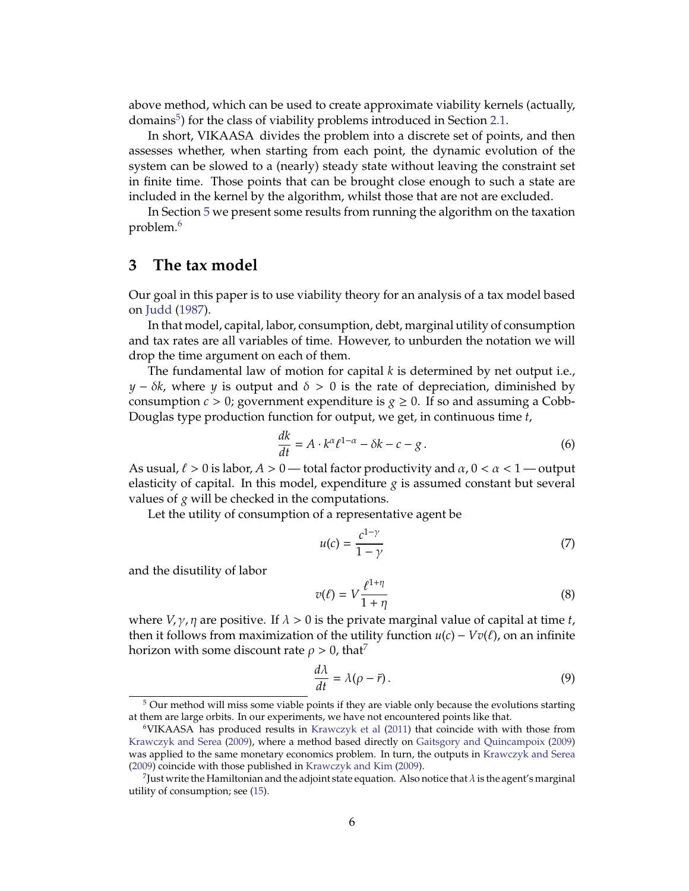above method, which can be used to create approximate viability kernels (actually, domains<sup>[5](#page-5-1)</sup>) for the class of viability problems introduced in Section [2.1.](#page-2-2)

In short, VIKAASA divides the problem into a discrete set of points, and then assesses whether, when starting from each point, the dynamic evolution of the system can be slowed to a (nearly) steady state without leaving the constraint set in finite time. Those points that can be brought close enough to such a state are included in the kernel by the algorithm, whilst those that are not are excluded.

In Section [5](#page-10-0) we present some results from running the algorithm on the taxation problem.[6](#page-5-2)

## <span id="page-5-0"></span>**3 The tax model**

Our goal in this paper is to use viability theory for an analysis of a tax model based on [Judd](#page-21-0) [\(1987\)](#page-21-0).

In that model, capital, labor, consumption, debt, marginal utility of consumption and tax rates are all variables of time. However, to unburden the notation we will drop the time argument on each of them.

The fundamental law of motion for capital *k* is determined by net output i.e., *y* −  $\delta k$ , where *y* is output and  $\delta > 0$  is the rate of depreciation, diminished by consumption  $c > 0$ ; government expenditure is  $g \ge 0$ . If so and assuming a Cobb-Douglas type production function for output, we get, in continuous time *t*,

<span id="page-5-6"></span>
$$
\frac{dk}{dt} = A \cdot k^{\alpha} \ell^{1-\alpha} - \delta k - c - g \,. \tag{6}
$$

As usual,  $\ell > 0$  is labor,  $A > 0$  — total factor productivity and  $\alpha, 0 < \alpha < 1$  — output elasticity of capital. In this model, expenditure  $g$  is assumed constant but several values of *g* will be checked in the computations.

Let the utility of consumption of a representative agent be

<span id="page-5-5"></span>
$$
u(c) = \frac{c^{1-\gamma}}{1-\gamma} \tag{7}
$$

and the disutility of labor

$$
v(\ell) = V \frac{\ell^{1+\eta}}{1+\eta} \tag{8}
$$

where  $V, \gamma, \eta$  are positive. If  $\lambda > 0$  is the private marginal value of capital at time *t*, then it follows from maximization of the utility function  $u(c) - Vv(\ell)$ , on an infinite horizon with some discount rate  $\rho > 0$ , that<sup>[7](#page-5-3)</sup>

<span id="page-5-4"></span>
$$
\frac{d\lambda}{dt} = \lambda(\rho - \bar{r}).\tag{9}
$$

<span id="page-5-1"></span><sup>&</sup>lt;sup>5</sup> Our method will miss some viable points if they are viable only because the evolutions starting at them are large orbits. In our experiments, we have not encountered points like that.

<span id="page-5-2"></span><sup>6</sup>VIKAASA has produced results in [Krawczyk et al](#page-21-10) [\(2011\)](#page-21-10) that coincide with with those from [Krawczyk and Serea](#page-21-11) [\(2009\)](#page-21-11), where a method based directly on [Gaitsgory and Quincampoix](#page-21-9) [\(2009\)](#page-21-9) was applied to the same monetary economics problem. In turn, the outputs in [Krawczyk and Serea](#page-21-11) [\(2009\)](#page-21-11) coincide with those published in [Krawczyk and Kim](#page-21-5) [\(2009\)](#page-21-5).

<span id="page-5-3"></span> $^7$ Just write the Hamiltonian and the adjoint state equation. Also notice that  $\lambda$  is the agent's marginal utility of consumption; see [\(15\)](#page-6-0).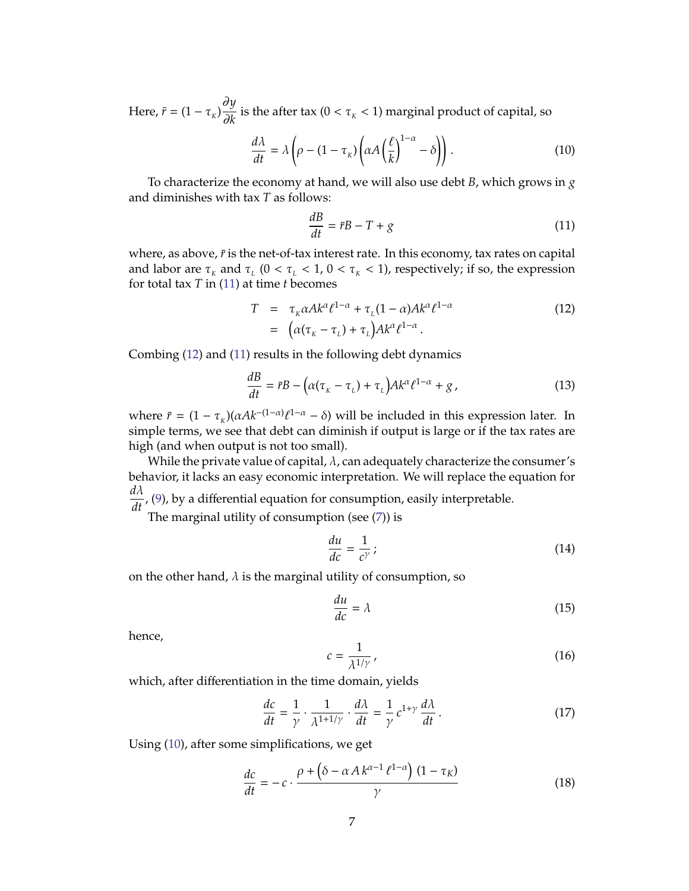Here,  $\bar{r} = (1 - \tau_k)$ ∂*y*  $\frac{\partial f}{\partial k}$  is the after tax ( $0 < \tau_K < 1$ ) marginal product of capital, so

<span id="page-6-3"></span>
$$
\frac{d\lambda}{dt} = \lambda \left( \rho - (1 - \tau_{\kappa}) \left( \alpha A \left( \frac{\ell}{k} \right)^{1 - \alpha} - \delta \right) \right). \tag{10}
$$

To characterize the economy at hand, we will also use debt *B*, which grows in *g* and diminishes with tax *T* as follows:

<span id="page-6-1"></span>
$$
\frac{dB}{dt} = \bar{r}B - T + g\tag{11}
$$

where, as above,  $\bar{r}$  is the net-of-tax interest rate. In this economy, tax rates on capital and labor are  $\tau_{\kappa}$  and  $\tau_{\kappa}$  ( $0 < \tau_{\kappa} < 1$ ,  $0 < \tau_{\kappa} < 1$ ), respectively; if so, the expression for total tax *T* in [\(11\)](#page-6-1) at time *t* becomes

<span id="page-6-2"></span>
$$
T = \tau_{k} \alpha A k^{\alpha} \ell^{1-\alpha} + \tau_{L} (1-\alpha) A k^{\alpha} \ell^{1-\alpha}
$$
  
= 
$$
(\alpha(\tau_{k} - \tau_{L}) + \tau_{L}) A k^{\alpha} \ell^{1-\alpha}.
$$
 (12)

Combing [\(12\)](#page-6-2) and [\(11\)](#page-6-1) results in the following debt dynamics

<span id="page-6-5"></span>
$$
\frac{dB}{dt} = \bar{r}B - \left(\alpha(\tau_{\kappa} - \tau_{\iota}) + \tau_{\iota}\right)Ak^{\alpha}\ell^{1-\alpha} + g\,,\tag{13}
$$

where  $\bar{r} = (1 - \tau_{K})(\alpha Ak^{-(1-\alpha)}\ell^{1-\alpha} - \delta)$  will be included in this expression later. In simple terms, we see that debt can diminish if output is large or if the tax rates are high (and when output is not too small).

While the private value of capital,  $\lambda$ , can adequately characterize the consumer's behavior, it lacks an easy economic interpretation. We will replace the equation for  $\frac{d\lambda}{dt}$ , [\(9\)](#page-5-4), by a differential equation for consumption, easily interpretable.

The marginal utility of consumption (see [\(7\)](#page-5-5)) is

$$
\frac{du}{dc} = \frac{1}{c^{\gamma}} \tag{14}
$$

on the other hand,  $\lambda$  is the marginal utility of consumption, so

<span id="page-6-0"></span>
$$
\frac{du}{dc} = \lambda \tag{15}
$$

hence,

$$
c = \frac{1}{\lambda^{1/\gamma}}\,,\tag{16}
$$

which, after differentiation in the time domain, yields

$$
\frac{dc}{dt} = \frac{1}{\gamma} \cdot \frac{1}{\lambda^{1+1/\gamma}} \cdot \frac{d\lambda}{dt} = \frac{1}{\gamma} c^{1+\gamma} \frac{d\lambda}{dt}.
$$
 (17)

Using [\(10\)](#page-6-3), after some simplifications, we get

<span id="page-6-4"></span>
$$
\frac{dc}{dt} = -c \cdot \frac{\rho + (\delta - \alpha A k^{\alpha - 1} \ell^{1 - \alpha}) (1 - \tau_K)}{\gamma}
$$
(18)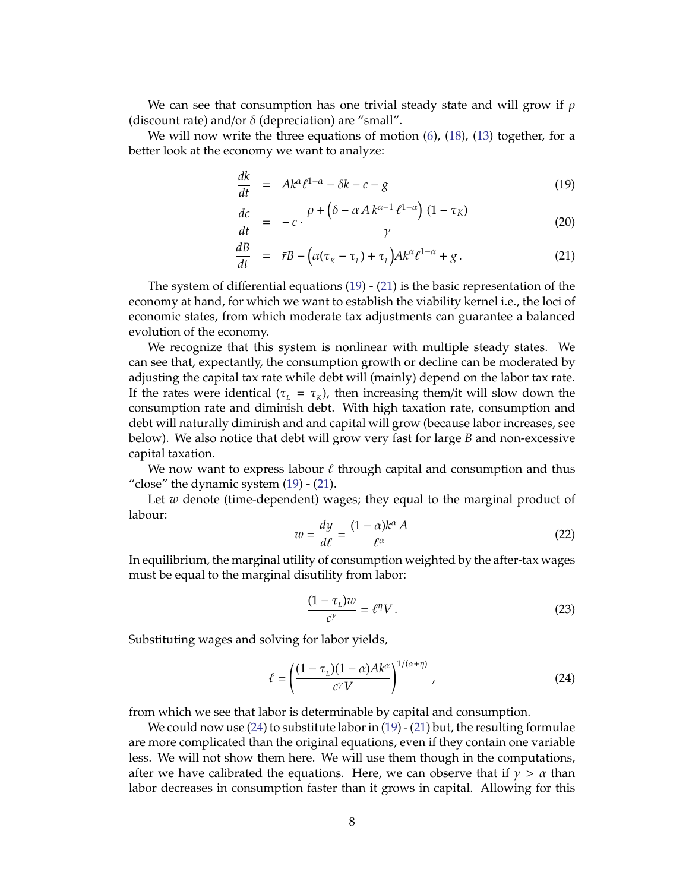We can see that consumption has one trivial steady state and will grow if  $\rho$ (discount rate) and/or  $\delta$  (depreciation) are "small".

We will now write the three equations of motion [\(6\)](#page-5-6), [\(18\)](#page-6-4), [\(13\)](#page-6-5) together, for a better look at the economy we want to analyze:

$$
\frac{dk}{dt} = Ak^{\alpha} \ell^{1-\alpha} - \delta k - c - g \tag{19}
$$

<span id="page-7-0"></span>
$$
\frac{dc}{dt} = -c \cdot \frac{\rho + (\delta - \alpha A k^{\alpha - 1} \ell^{1 - \alpha}) (1 - \tau_K)}{\gamma}
$$
(20)

$$
\frac{dB}{dt} = \bar{r}B - \left(\alpha(\tau_{\kappa} - \tau_{\iota}) + \tau_{\iota}\right)Ak^{\alpha}\ell^{1-\alpha} + g\,. \tag{21}
$$

The system of differential equations  $(19)$  -  $(21)$  is the basic representation of the economy at hand, for which we want to establish the viability kernel i.e., the loci of economic states, from which moderate tax adjustments can guarantee a balanced evolution of the economy.

We recognize that this system is nonlinear with multiple steady states. We can see that, expectantly, the consumption growth or decline can be moderated by adjusting the capital tax rate while debt will (mainly) depend on the labor tax rate. If the rates were identical ( $\tau_{L} = \tau_{K}$ ), then increasing them/it will slow down the consumption rate and diminish debt. With high taxation rate, consumption and debt will naturally diminish and and capital will grow (because labor increases, see below). We also notice that debt will grow very fast for large *B* and non-excessive capital taxation.

We now want to express labour  $\ell$  through capital and consumption and thus "close" the dynamic system  $(19)$  -  $(21)$ .

Let *w* denote (time-dependent) wages; they equal to the marginal product of labour:

$$
w = \frac{dy}{d\ell} = \frac{(1 - \alpha)k^{\alpha}A}{\ell^{\alpha}}
$$
 (22)

In equilibrium, the marginal utility of consumption weighted by the after-tax wages must be equal to the marginal disutility from labor:

$$
\frac{(1 - \tau_L)w}{c^{\gamma}} = \ell^{\eta} V. \tag{23}
$$

Substituting wages and solving for labor yields,

<span id="page-7-1"></span>
$$
\ell = \left(\frac{(1 - \tau_L)(1 - \alpha)Ak^{\alpha}}{c^{\gamma}V}\right)^{1/(\alpha + \eta)},
$$
\n(24)

from which we see that labor is determinable by capital and consumption.

We could now use  $(24)$  to substitute labor in  $(19)$  -  $(21)$  but, the resulting formulae are more complicated than the original equations, even if they contain one variable less. We will not show them here. We will use them though in the computations, after we have calibrated the equations. Here, we can observe that if  $\gamma > \alpha$  than labor decreases in consumption faster than it grows in capital. Allowing for this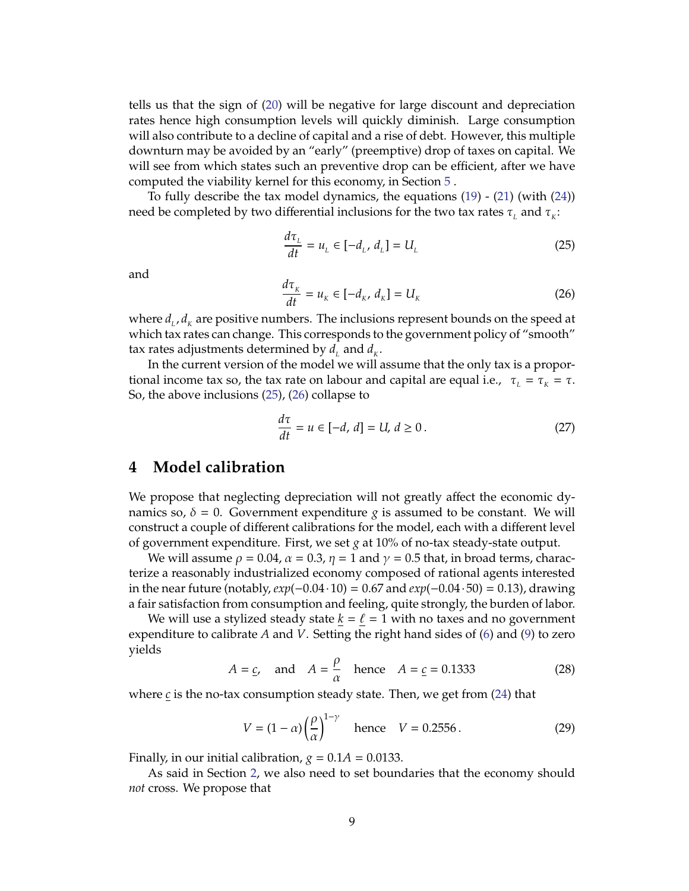tells us that the sign of [\(20\)](#page-7-0) will be negative for large discount and depreciation rates hence high consumption levels will quickly diminish. Large consumption will also contribute to a decline of capital and a rise of debt. However, this multiple downturn may be avoided by an "early" (preemptive) drop of taxes on capital. We will see from which states such an preventive drop can be efficient, after we have computed the viability kernel for this economy, in Section [5](#page-10-0) .

To fully describe the tax model dynamics, the equations [\(19\)](#page-7-0) - [\(21\)](#page-7-0) (with [\(24\)](#page-7-1)) need be completed by two differential inclusions for the two tax rates  $\tau_{_L}$  and  $\tau_{_K}$ :

<span id="page-8-1"></span>
$$
\frac{d\tau_L}{dt} = u_L \in [-d_L, d_L] = U_L \tag{25}
$$

and

<span id="page-8-2"></span>
$$
\frac{d\tau_k}{dt} = u_k \in [-d_k, d_k] = U_k \tag{26}
$$

where  $d_{_L}$ ,  $d_{_K}$  are positive numbers. The inclusions represent bounds on the speed at which tax rates can change. This corresponds to the government policy of "smooth" tax rates adjustments determined by  $d_{\scriptscriptstyle L}$  and  $d_{\scriptscriptstyle K}$ .

In the current version of the model we will assume that the only tax is a proportional income tax so, the tax rate on labour and capital are equal i.e.,  $\tau_L = \tau_K = \tau$ . So, the above inclusions [\(25\)](#page-8-1), [\(26\)](#page-8-2) collapse to

<span id="page-8-3"></span>
$$
\frac{d\tau}{dt} = u \in [-d, d] = U, d \ge 0.
$$
\n
$$
(27)
$$

### <span id="page-8-0"></span>**4 Model calibration**

We propose that neglecting depreciation will not greatly affect the economic dynamics so,  $\delta = 0$ . Government expenditure *g* is assumed to be constant. We will construct a couple of different calibrations for the model, each with a different level of government expenditure. First, we set *g* at 10% of no-tax steady-state output.

We will assume  $\rho = 0.04$ ,  $\alpha = 0.3$ ,  $\eta = 1$  and  $\gamma = 0.5$  that, in broad terms, characterize a reasonably industrialized economy composed of rational agents interested in the near future (notably, *exp*(−0.04 · 10) = 0.67 and *exp*(−0.04 · 50) = 0.13), drawing a fair satisfaction from consumption and feeling, quite strongly, the burden of labor.

We will use a stylized steady state  $k = \ell = 1$  with no taxes and no government expenditure to calibrate *A* and *V*. Setting the right hand sides of [\(6\)](#page-5-6) and [\(9\)](#page-5-4) to zero yields

$$
A = \underline{c}
$$
, and  $A = \frac{\rho}{\alpha}$  hence  $A = \underline{c} = 0.1333$  (28)

where *c* is the no-tax consumption steady state. Then, we get from [\(24\)](#page-7-1) that

$$
V = (1 - \alpha) \left(\frac{\rho}{\alpha}\right)^{1 - \gamma} \quad \text{hence} \quad V = 0.2556 \,. \tag{29}
$$

Finally, in our initial calibration,  $g = 0.1A = 0.0133$ .

As said in Section [2,](#page-2-0) we also need to set boundaries that the economy should *not* cross. We propose that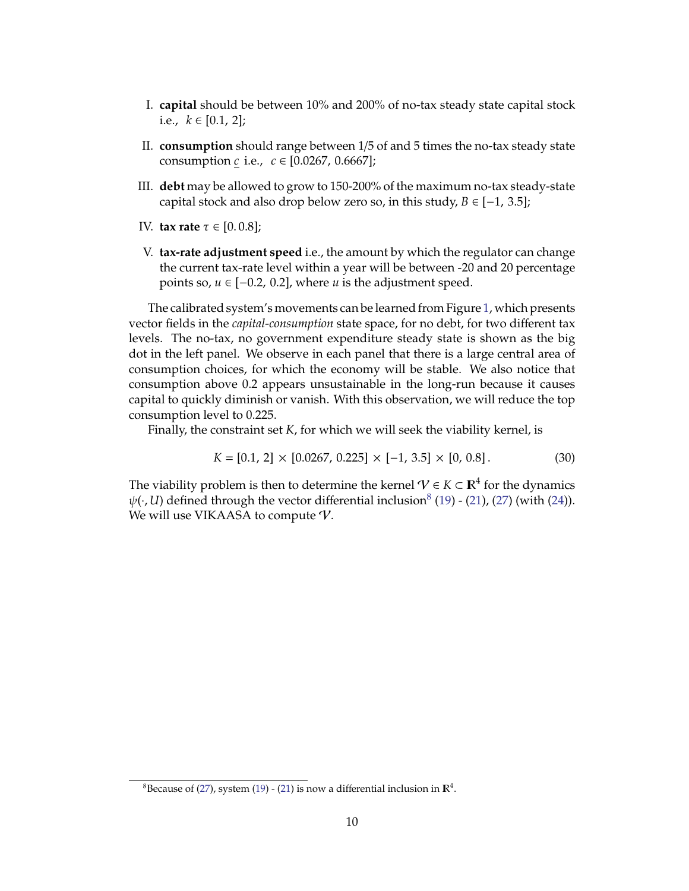- I. **capital** should be between 10% and 200% of no-tax steady state capital stock i.e.,  $k \in [0.1, 2]$ ;
- II. **consumption** should range between 1/5 of and 5 times the no-tax steady state consumption *c* i.e., *c* ∈ [0.0267, 0.6667];
- III. **debt** may be allowed to grow to 150-200% of the maximum no-tax steady-state capital stock and also drop below zero so, in this study,  $B \in [-1, 3.5]$ ;
- IV. **tax rate** τ ∈ [0. 0.8];
- V. **tax-rate adjustment speed** i.e., the amount by which the regulator can change the current tax-rate level within a year will be between -20 and 20 percentage points so,  $u \in [-0.2, 0.2]$ , where  $u$  is the adjustment speed.

The calibrated system's movements can be learned from Figure [1,](#page-10-1) which presents vector fields in the *capital*-*consumption* state space, for no debt, for two different tax levels. The no-tax, no government expenditure steady state is shown as the big dot in the left panel. We observe in each panel that there is a large central area of consumption choices, for which the economy will be stable. We also notice that consumption above 0.2 appears unsustainable in the long-run because it causes capital to quickly diminish or vanish. With this observation, we will reduce the top consumption level to 0.225.

Finally, the constraint set *K*, for which we will seek the viability kernel, is

$$
K = [0.1, 2] \times [0.0267, 0.225] \times [-1, 3.5] \times [0, 0.8]. \tag{30}
$$

The viability problem is then to determine the kernel  $\mathcal{V} \in K \subset \mathbb{R}^4$  for the dynamics  $\psi(\cdot, U)$  defined through the vector differential inclusion<sup>[8](#page-9-0)</sup> [\(19\)](#page-7-0) - [\(21\)](#page-7-0), [\(27\)](#page-8-3) (with [\(24\)](#page-7-1)). We will use VIKAASA to compute  $\mathcal V$ .

<span id="page-9-0"></span> ${}^{8}$ Because of [\(27\)](#page-8-3), system [\(19\)](#page-7-0) - [\(21\)](#page-7-0) is now a differential inclusion in  $\mathbb{R}^{4}$ .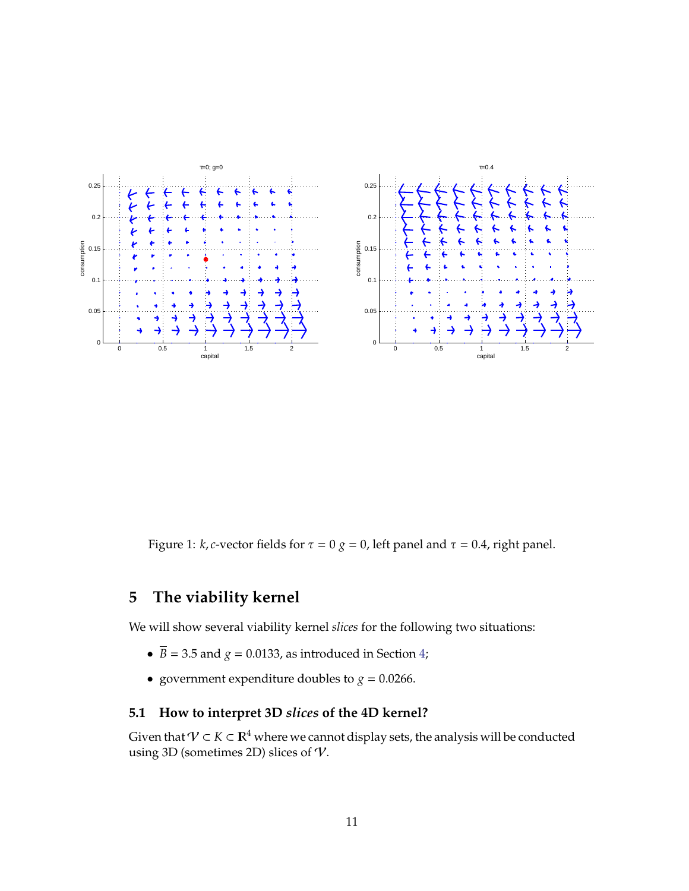

<span id="page-10-1"></span>Figure 1: *k*, *c*-vector fields for  $\tau = 0$  *g* = 0, left panel and  $\tau = 0.4$ , right panel.

# <span id="page-10-0"></span>**5 The viability kernel**

We will show several viability kernel *slices* for the following two situations:

- $\overline{B}$  = 3.5 and *g* = 0.0133, as introduced in Section [4;](#page-8-0)
- government expenditure doubles to  $g = 0.0266$ .

# **5.1 How to interpret 3D** *slices* **of the 4D kernel?**

Given that  $\mathcal{V}\subset K\subset \mathbb{R}^4$  where we cannot display sets, the analysis will be conducted using 3D (sometimes 2D) slices of  $V$ .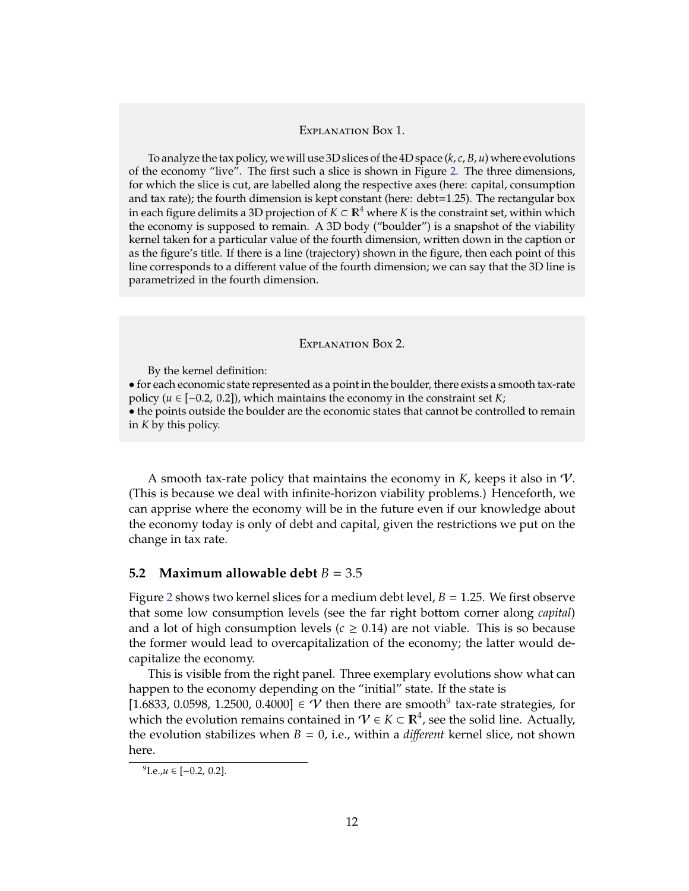#### Explanation Box 1.

To analyze the tax policy, we will use 3D slices of the 4D space (*k*, *c*, *B*, *u*) where evolutions of the economy "live". The first such a slice is shown in Figure [2.](#page-12-0) The three dimensions, for which the slice is cut, are labelled along the respective axes (here: capital, consumption and tax rate); the fourth dimension is kept constant (here: debt=1.25). The rectangular box in each figure delimits a 3D projection of *K* ⊂  $\mathbb{R}^4$  where *K* is the constraint set, within which the economy is supposed to remain. A 3D body ("boulder") is a snapshot of the viability kernel taken for a particular value of the fourth dimension, written down in the caption or as the figure's title. If there is a line (trajectory) shown in the figure, then each point of this line corresponds to a different value of the fourth dimension; we can say that the 3D line is parametrized in the fourth dimension.

#### Explanation Box 2.

By the kernel definition:

• for each economic state represented as a point in the boulder, there exists a smooth tax-rate policy (*u* ∈ [−0.2, 0.2]), which maintains the economy in the constraint set *K*; • the points outside the boulder are the economic states that cannot be controlled to remain in *K* by this policy.

A smooth tax-rate policy that maintains the economy in *K*, keeps it also in V. (This is because we deal with infinite-horizon viability problems.) Henceforth, we can apprise where the economy will be in the future even if our knowledge about the economy today is only of debt and capital, given the restrictions we put on the change in tax rate.

#### <span id="page-11-1"></span>**5.2** Maximum allowable debt  $B = 3.5$

Figure [2](#page-12-0) shows two kernel slices for a medium debt level, *B* = 1.25. We first observe that some low consumption levels (see the far right bottom corner along *capital*) and a lot of high consumption levels ( $c \geq 0.14$ ) are not viable. This is so because the former would lead to overcapitalization of the economy; the latter would decapitalize the economy.

This is visible from the right panel. Three exemplary evolutions show what can happen to the economy depending on the "initial" state. If the state is

[1.6833, 0.05[9](#page-11-0)8, 1.2500, 0.4000]  $\in \mathcal{V}$  then there are smooth<sup>9</sup> tax-rate strategies, for which the evolution remains contained in  $\mathcal{V} \in K \subset \mathbb{R}^4$ , see the solid line. Actually, the evolution stabilizes when  $B = 0$ , i.e., within a *different* kernel slice, not shown here.

<span id="page-11-0"></span><sup>&</sup>lt;sup>9</sup>I.e.,*u* ∈ [-0.2, 0.2].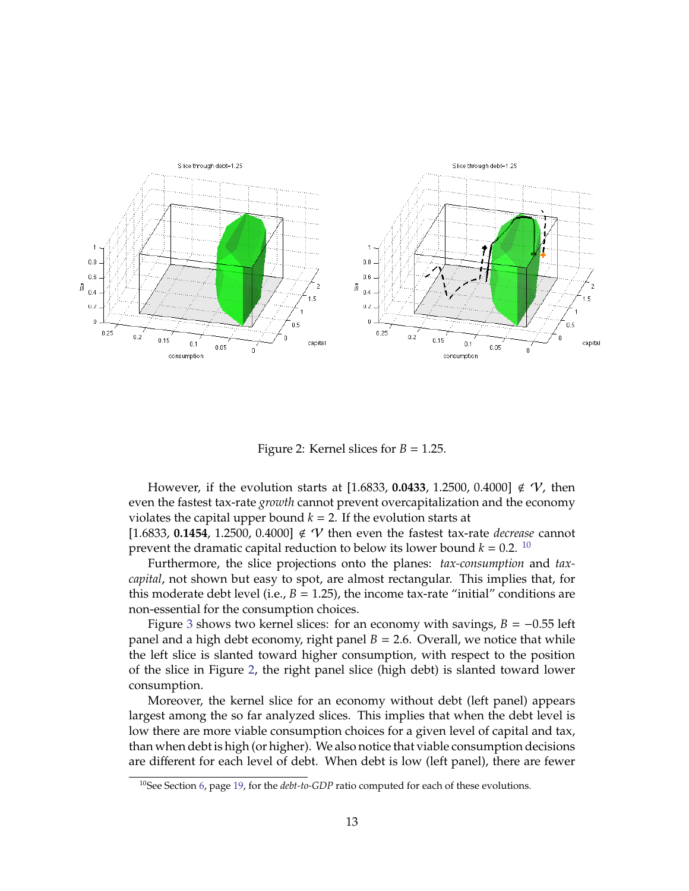

<span id="page-12-0"></span>Figure 2: Kernel slices for  $B = 1.25$ .

However, if the evolution starts at [1.6833, 0.0433, 1.2500, 0.4000]  $\notin V$ , then even the fastest tax-rate *growth* cannot prevent overcapitalization and the economy violates the capital upper bound  $k = 2$ . If the evolution starts at [1.6833, 0.1454, 1.2500, 0.4000]  $\notin V$  then even the fastest tax-rate *decrease* cannot prevent the dramatic capital reduction to below its lower bound  $k = 0.2$ . <sup>[10](#page-12-1)</sup>

Furthermore, the slice projections onto the planes: *tax-consumption* and *taxcapital*, not shown but easy to spot, are almost rectangular. This implies that, for this moderate debt level (i.e.,  $B = 1.25$ ), the income tax-rate "initial" conditions are non-essential for the consumption choices.

Figure [3](#page-13-0) shows two kernel slices: for an economy with savings,  $B = -0.55$  left panel and a high debt economy, right panel  $B = 2.6$ . Overall, we notice that while the left slice is slanted toward higher consumption, with respect to the position of the slice in Figure [2,](#page-12-0) the right panel slice (high debt) is slanted toward lower consumption.

Moreover, the kernel slice for an economy without debt (left panel) appears largest among the so far analyzed slices. This implies that when the debt level is low there are more viable consumption choices for a given level of capital and tax, than when debt is high (or higher). We also notice that viable consumption decisions are different for each level of debt. When debt is low (left panel), there are fewer

<span id="page-12-1"></span><sup>&</sup>lt;sup>10</sup>See Section [6,](#page-18-0) page [19,](#page-18-0) for the *debt-to-GDP* ratio computed for each of these evolutions.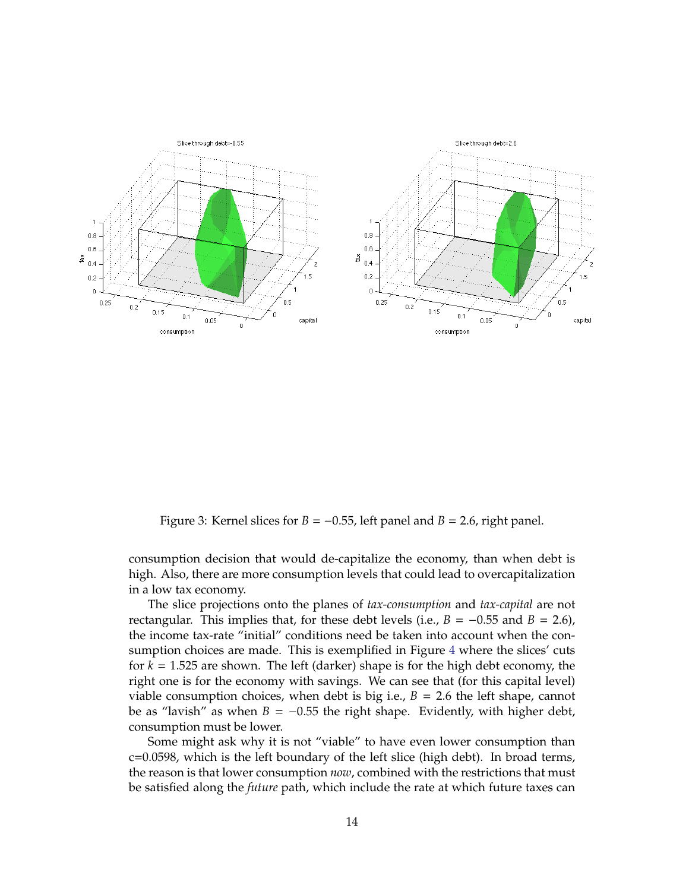

<span id="page-13-0"></span>Figure 3: Kernel slices for  $B = -0.55$ , left panel and  $B = 2.6$ , right panel.

consumption decision that would de-capitalize the economy, than when debt is high. Also, there are more consumption levels that could lead to overcapitalization in a low tax economy.

The slice projections onto the planes of *tax-consumption* and *tax-capital* are not rectangular. This implies that, for these debt levels (i.e.,  $B = -0.55$  and  $B = 2.6$ ), the income tax-rate "initial" conditions need be taken into account when the consumption choices are made. This is exemplified in Figure [4](#page-14-0) where the slices' cuts for *k* = 1.525 are shown. The left (darker) shape is for the high debt economy, the right one is for the economy with savings. We can see that (for this capital level) viable consumption choices, when debt is big i.e.,  $B = 2.6$  the left shape, cannot be as "lavish" as when  $B = -0.55$  the right shape. Evidently, with higher debt, consumption must be lower.

Some might ask why it is not "viable" to have even lower consumption than c=0.0598, which is the left boundary of the left slice (high debt). In broad terms, the reason is that lower consumption *now*, combined with the restrictions that must be satisfied along the *future* path, which include the rate at which future taxes can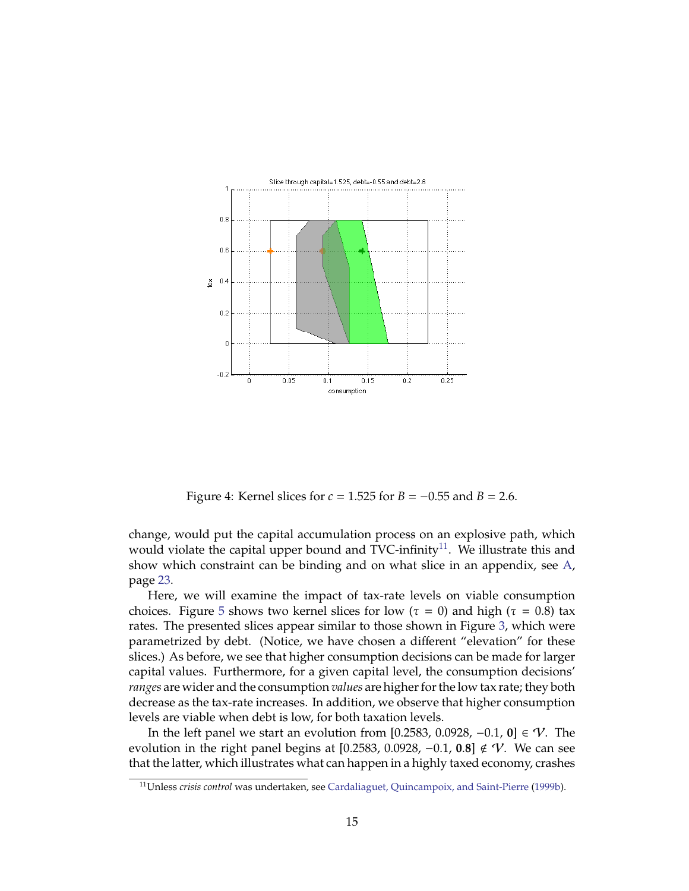

<span id="page-14-0"></span>Figure 4: Kernel slices for *c* = 1.525 for *B* = −0.55 and *B* = 2.6.

change, would put the capital accumulation process on an explosive path, which would violate the capital upper bound and TVC-infinity<sup>[11](#page-14-1)</sup>. We illustrate this and show which constraint can be binding and on what slice in an appendix, see [A,](#page-22-7) page [23.](#page-22-7)

Here, we will examine the impact of tax-rate levels on viable consumption choices. Figure [5](#page-15-0) shows two kernel slices for low ( $\tau = 0$ ) and high ( $\tau = 0.8$ ) tax rates. The presented slices appear similar to those shown in Figure [3,](#page-13-0) which were parametrized by debt. (Notice, we have chosen a different "elevation" for these slices.) As before, we see that higher consumption decisions can be made for larger capital values. Furthermore, for a given capital level, the consumption decisions' *ranges* are wider and the consumption *values* are higher for the low tax rate; they both decrease as the tax-rate increases. In addition, we observe that higher consumption levels are viable when debt is low, for both taxation levels.

In the left panel we start an evolution from [0.2583, 0.0928, −0.1, **0**] ∈ V. The evolution in the right panel begins at [0.2583, 0.0928, −0.1, **0**.**8**] < V. We can see that the latter, which illustrates what can happen in a highly taxed economy, crashes

<span id="page-14-1"></span><sup>11</sup>Unless *crisis control* was undertaken, see [Cardaliaguet, Quincampoix, and Saint-Pierre](#page-20-9) [\(1999b\)](#page-20-9).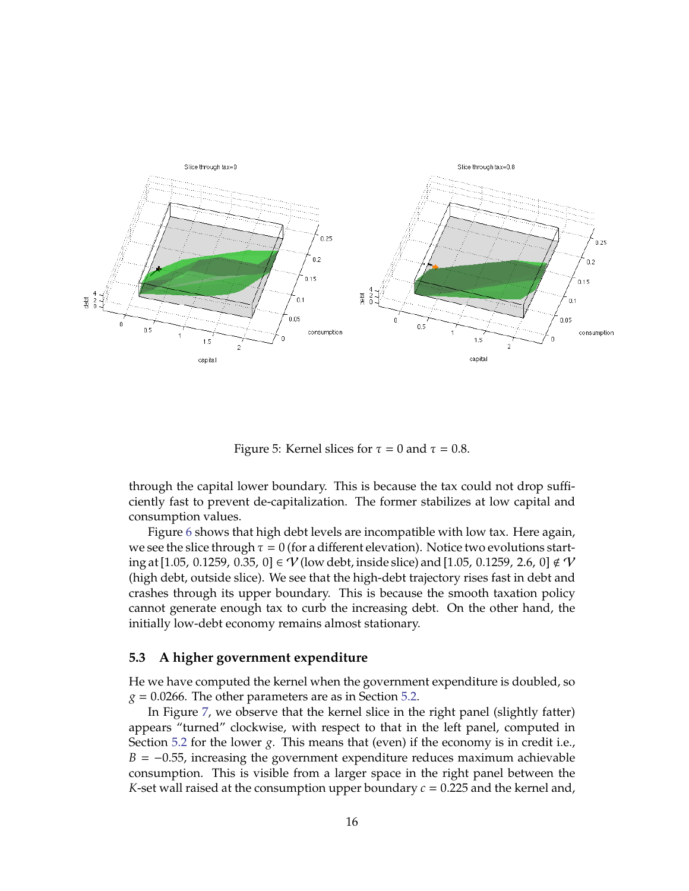

<span id="page-15-0"></span>Figure 5: Kernel slices for  $\tau = 0$  and  $\tau = 0.8$ .

through the capital lower boundary. This is because the tax could not drop sufficiently fast to prevent de-capitalization. The former stabilizes at low capital and consumption values.

Figure [6](#page-16-0) shows that high debt levels are incompatible with low tax. Here again, we see the slice through  $\tau = 0$  (for a different elevation). Notice two evolutions starting at [1.05, 0.1259, 0.35, 0] ∈  $V$  (low debt, inside slice) and [1.05, 0.1259, 2.6, 0] ∉  $V$ (high debt, outside slice). We see that the high-debt trajectory rises fast in debt and crashes through its upper boundary. This is because the smooth taxation policy cannot generate enough tax to curb the increasing debt. On the other hand, the initially low-debt economy remains almost stationary.

#### **5.3 A higher government expenditure**

He we have computed the kernel when the government expenditure is doubled, so  $g = 0.0266$ . The other parameters are as in Section [5.2.](#page-11-1)

In Figure [7,](#page-17-0) we observe that the kernel slice in the right panel (slightly fatter) appears "turned" clockwise, with respect to that in the left panel, computed in Section [5.2](#page-11-1) for the lower *g*. This means that (even) if the economy is in credit i.e.,  $B = -0.55$ , increasing the government expenditure reduces maximum achievable consumption. This is visible from a larger space in the right panel between the *K*-set wall raised at the consumption upper boundary  $c = 0.225$  and the kernel and,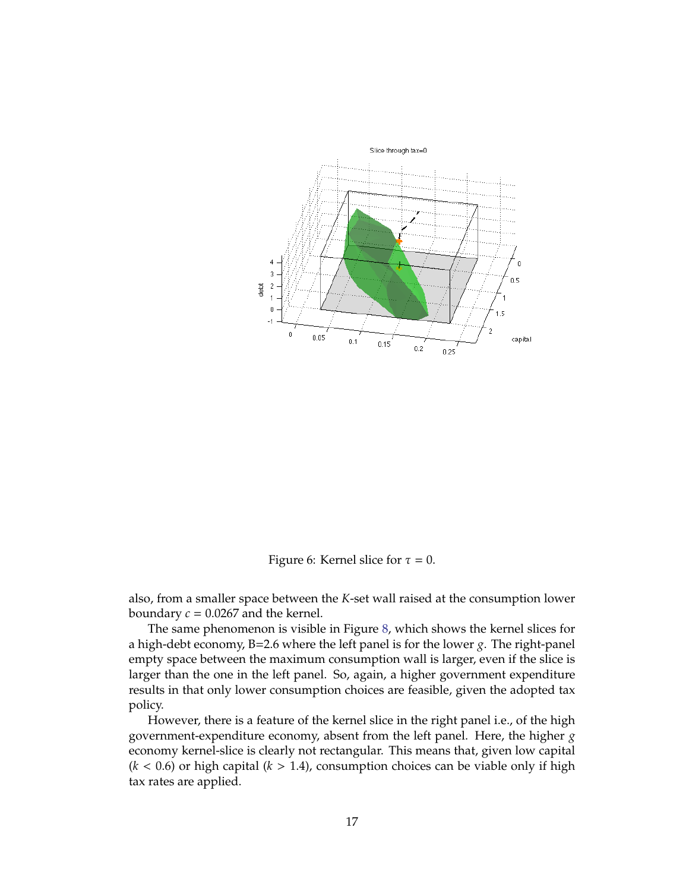

<span id="page-16-0"></span>Figure 6: Kernel slice for  $\tau = 0$ .

also, from a smaller space between the *K*-set wall raised at the consumption lower boundary  $c = 0.0267$  and the kernel.

The same phenomenon is visible in Figure [8,](#page-18-1) which shows the kernel slices for a high-debt economy, B=2.6 where the left panel is for the lower *g*. The right-panel empty space between the maximum consumption wall is larger, even if the slice is larger than the one in the left panel. So, again, a higher government expenditure results in that only lower consumption choices are feasible, given the adopted tax policy.

However, there is a feature of the kernel slice in the right panel i.e., of the high government-expenditure economy, absent from the left panel. Here, the higher *g* economy kernel-slice is clearly not rectangular. This means that, given low capital  $(k < 0.6)$  or high capital  $(k > 1.4)$ , consumption choices can be viable only if high tax rates are applied.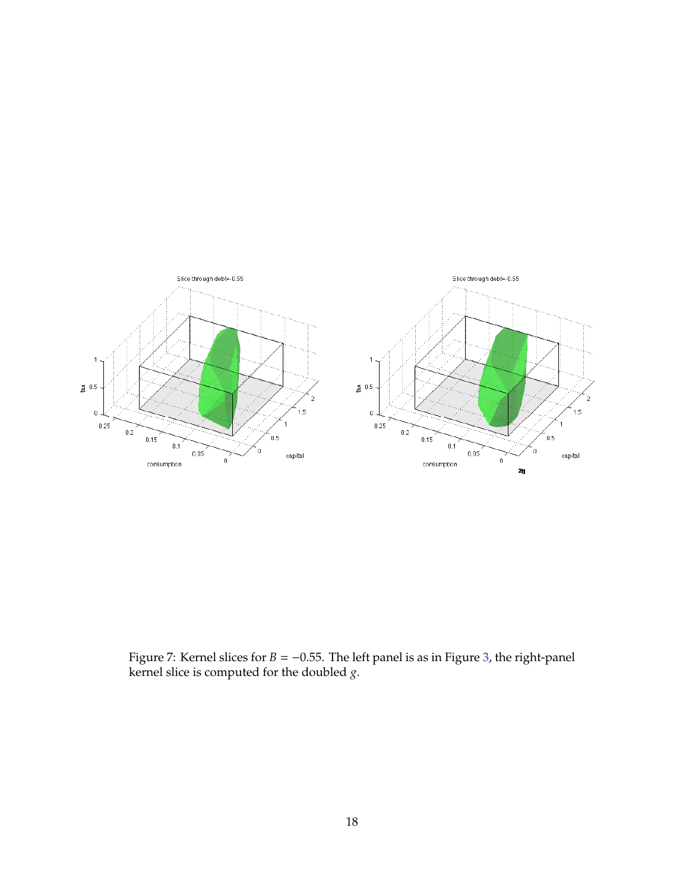

<span id="page-17-0"></span>Figure 7: Kernel slices for *B* = −0.55. The left panel is as in Figure [3,](#page-13-0) the right-panel kernel slice is computed for the doubled *g*.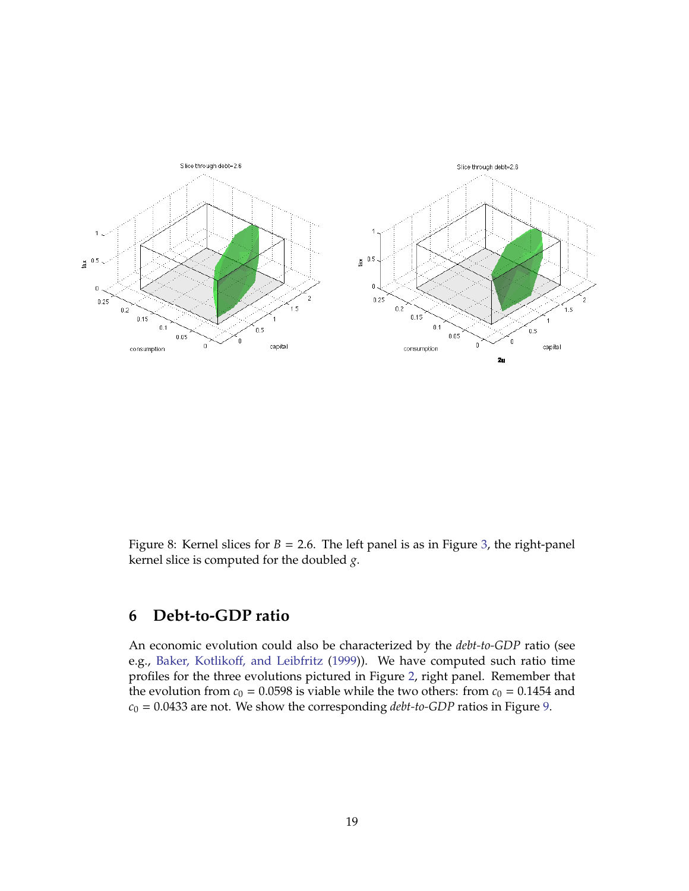

<span id="page-18-1"></span>Figure 8: Kernel slices for  $B = 2.6$ . The left panel is as in Figure [3,](#page-13-0) the right-panel kernel slice is computed for the doubled *g*.

# <span id="page-18-0"></span>**6 Debt-to-GDP ratio**

An economic evolution could also be characterized by the *debt-to-GDP* ratio (see e.g., Baker, Kotlikoff[, and Leibfritz](#page-20-10) [\(1999\)](#page-20-10)). We have computed such ratio time profiles for the three evolutions pictured in Figure [2,](#page-12-0) right panel. Remember that the evolution from  $c_0 = 0.0598$  is viable while the two others: from  $c_0 = 0.1454$  and *c*<sup>0</sup> = 0.0433 are not. We show the corresponding *debt-to-GDP* ratios in Figure [9.](#page-19-0)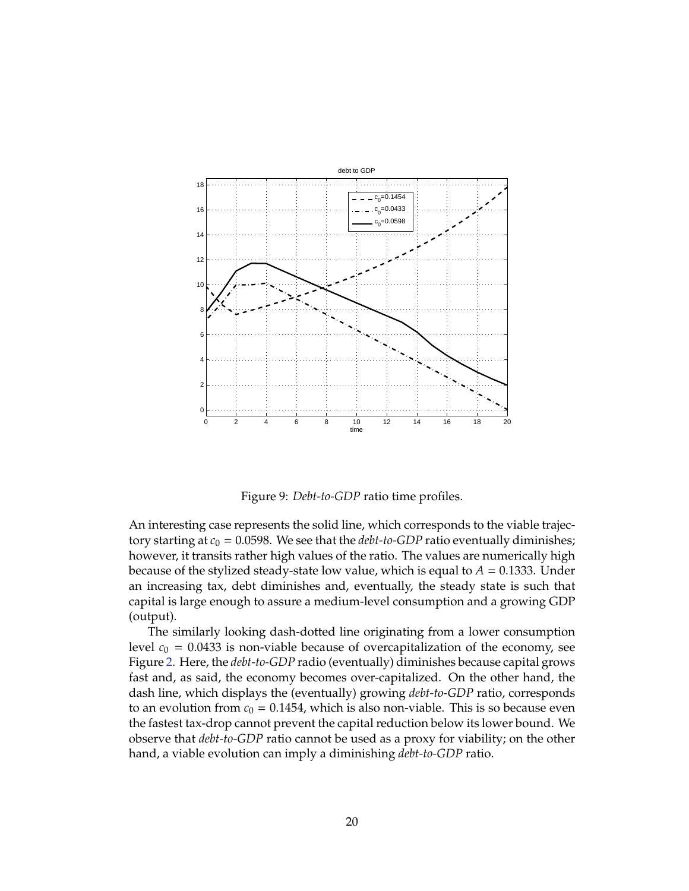

<span id="page-19-0"></span>Figure 9: *Debt-to-GDP* ratio time profiles.

An interesting case represents the solid line, which corresponds to the viable trajectory starting at  $c_0 = 0.0598$ . We see that the *debt-to-GDP* ratio eventually diminishes; however, it transits rather high values of the ratio. The values are numerically high because of the stylized steady-state low value, which is equal to  $A = 0.1333$ . Under an increasing tax, debt diminishes and, eventually, the steady state is such that capital is large enough to assure a medium-level consumption and a growing GDP (output).

The similarly looking dash-dotted line originating from a lower consumption level  $c_0 = 0.0433$  is non-viable because of overcapitalization of the economy, see Figure [2.](#page-12-0) Here, the *debt-to-GDP* radio (eventually) diminishes because capital grows fast and, as said, the economy becomes over-capitalized. On the other hand, the dash line, which displays the (eventually) growing *debt-to-GDP* ratio, corresponds to an evolution from  $c_0 = 0.1454$ , which is also non-viable. This is so because even the fastest tax-drop cannot prevent the capital reduction below its lower bound. We observe that *debt-to-GDP* ratio cannot be used as a proxy for viability; on the other hand, a viable evolution can imply a diminishing *debt-to-GDP* ratio.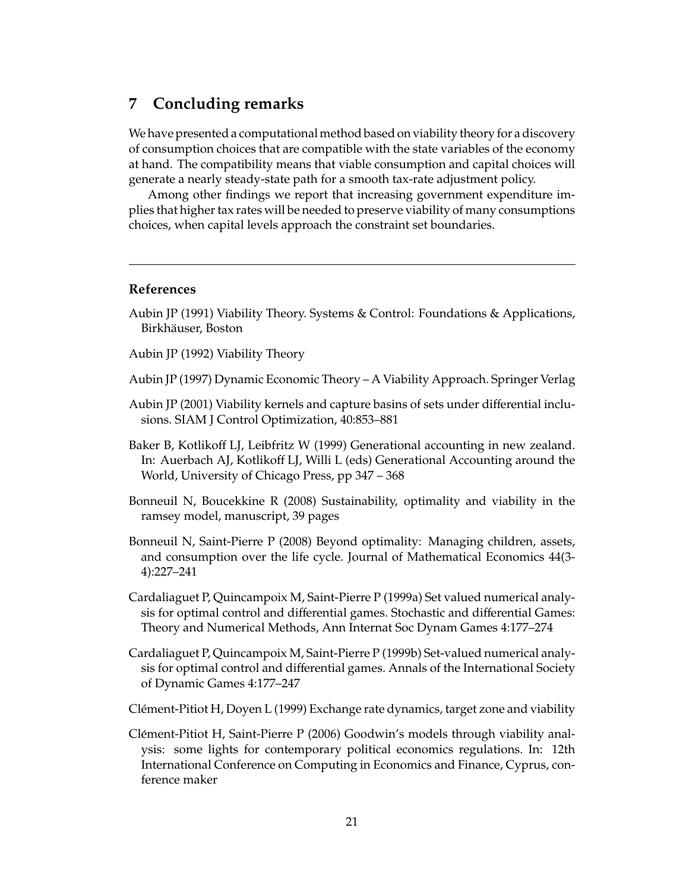# **7 Concluding remarks**

We have presented a computational method based on viability theory for a discovery of consumption choices that are compatible with the state variables of the economy at hand. The compatibility means that viable consumption and capital choices will generate a nearly steady-state path for a smooth tax-rate adjustment policy.

Among other findings we report that increasing government expenditure implies that higher tax rates will be needed to preserve viability of many consumptions choices, when capital levels approach the constraint set boundaries.

#### **References**

- <span id="page-20-5"></span>Aubin JP (1991) Viability Theory. Systems & Control: Foundations & Applications, Birkhäuser, Boston
- <span id="page-20-6"></span>Aubin JP (1992) Viability Theory
- <span id="page-20-0"></span>Aubin JP (1997) Dynamic Economic Theory – A Viability Approach. Springer Verlag
- <span id="page-20-7"></span>Aubin JP (2001) Viability kernels and capture basins of sets under differential inclusions. SIAM J Control Optimization, 40:853–881
- <span id="page-20-10"></span>Baker B, Kotlikoff LJ, Leibfritz W (1999) Generational accounting in new zealand. In: Auerbach AJ, Kotlikoff LJ, Willi L (eds) Generational Accounting around the World, University of Chicago Press, pp 347 – 368
- <span id="page-20-2"></span>Bonneuil N, Boucekkine R (2008) Sustainability, optimality and viability in the ramsey model, manuscript, 39 pages
- <span id="page-20-1"></span>Bonneuil N, Saint-Pierre P (2008) Beyond optimality: Managing children, assets, and consumption over the life cycle. Journal of Mathematical Economics 44(3- 4):227–241
- <span id="page-20-8"></span>Cardaliaguet P, Quincampoix M, Saint-Pierre P (1999a) Set valued numerical analysis for optimal control and differential games. Stochastic and differential Games: Theory and Numerical Methods, Ann Internat Soc Dynam Games 4:177–274
- <span id="page-20-9"></span>Cardaliaguet P, Quincampoix M, Saint-Pierre P (1999b) Set-valued numerical analysis for optimal control and differential games. Annals of the International Society of Dynamic Games 4:177–247
- <span id="page-20-4"></span>Clement-Pitiot H, Doyen L (1999) Exchange rate dynamics, target zone and viability ´
- <span id="page-20-3"></span>Clement-Pitiot H, Saint-Pierre P (2006) Goodwin's models through viability anal- ´ ysis: some lights for contemporary political economics regulations. In: 12th International Conference on Computing in Economics and Finance, Cyprus, conference maker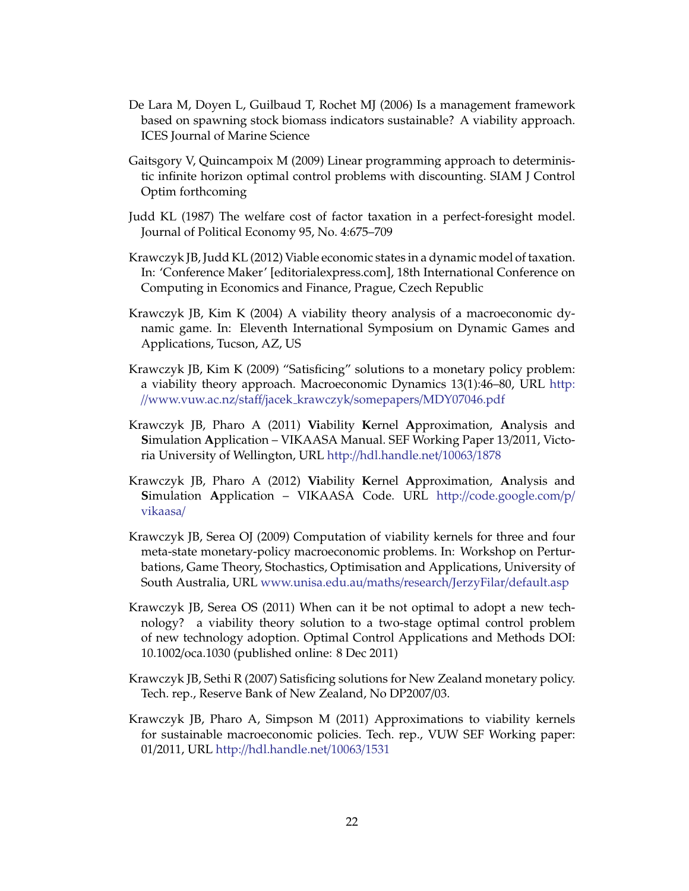- <span id="page-21-4"></span>De Lara M, Doyen L, Guilbaud T, Rochet MJ (2006) Is a management framework based on spawning stock biomass indicators sustainable? A viability approach. ICES Journal of Marine Science
- <span id="page-21-9"></span>Gaitsgory V, Quincampoix M (2009) Linear programming approach to deterministic infinite horizon optimal control problems with discounting. SIAM J Control Optim forthcoming
- <span id="page-21-0"></span>Judd KL (1987) The welfare cost of factor taxation in a perfect-foresight model. Journal of Political Economy 95, No. 4:675–709
- <span id="page-21-1"></span>Krawczyk JB, Judd KL (2012) Viable economic states in a dynamic model of taxation. In: 'Conference Maker' [editorialexpress.com], 18th International Conference on Computing in Economics and Finance, Prague, Czech Republic
- <span id="page-21-6"></span>Krawczyk JB, Kim K (2004) A viability theory analysis of a macroeconomic dynamic game. In: Eleventh International Symposium on Dynamic Games and Applications, Tucson, AZ, US
- <span id="page-21-5"></span>Krawczyk JB, Kim K (2009) "Satisficing" solutions to a monetary policy problem: a viability theory approach. Macroeconomic Dynamics 13(1):46–80, URL [http:](http://www.vuw.ac.nz/staff/jacek_krawczyk/somepapers/MDY07046.pdf) //[www.vuw.ac.nz](http://www.vuw.ac.nz/staff/jacek_krawczyk/somepapers/MDY07046.pdf)/staff/jacek krawczyk/somepapers/MDY07046.pdf
- <span id="page-21-2"></span>Krawczyk JB, Pharo A (2011) **Vi**ability **K**ernel **A**pproximation, **A**nalysis and **S**imulation **A**pplication – VIKAASA Manual. SEF Working Paper 13/2011, Victoria University of Wellington, URL http://[hdl.handle.net](http://hdl.handle.net/10063/1878)/10063/1878
- <span id="page-21-3"></span>Krawczyk JB, Pharo A (2012) **Vi**ability **K**ernel **A**pproximation, **A**nalysis and **S**imulation **A**pplication – VIKAASA Code. URL http://[code.google.com](http://code.google.com/p/vikaasa/)/p/ [vikaasa](http://code.google.com/p/vikaasa/)/
- <span id="page-21-11"></span>Krawczyk JB, Serea OJ (2009) Computation of viability kernels for three and four meta-state monetary-policy macroeconomic problems. In: Workshop on Perturbations, Game Theory, Stochastics, Optimisation and Applications, University of South Australia, URL [www.unisa.edu.au](www.unisa.edu.au/maths/research/JerzyFilar/default.asp)/maths/research/JerzyFilar/default.asp
- <span id="page-21-8"></span>Krawczyk JB, Serea OS (2011) When can it be not optimal to adopt a new technology? a viability theory solution to a two-stage optimal control problem of new technology adoption. Optimal Control Applications and Methods DOI: 10.1002/oca.1030 (published online: 8 Dec 2011)
- <span id="page-21-7"></span>Krawczyk JB, Sethi R (2007) Satisficing solutions for New Zealand monetary policy. Tech. rep., Reserve Bank of New Zealand, No DP2007/03.
- <span id="page-21-10"></span>Krawczyk JB, Pharo A, Simpson M (2011) Approximations to viability kernels for sustainable macroeconomic policies. Tech. rep., VUW SEF Working paper: 01/2011, URL http://[hdl.handle.net](http://hdl.handle.net/10063/1531)/10063/1531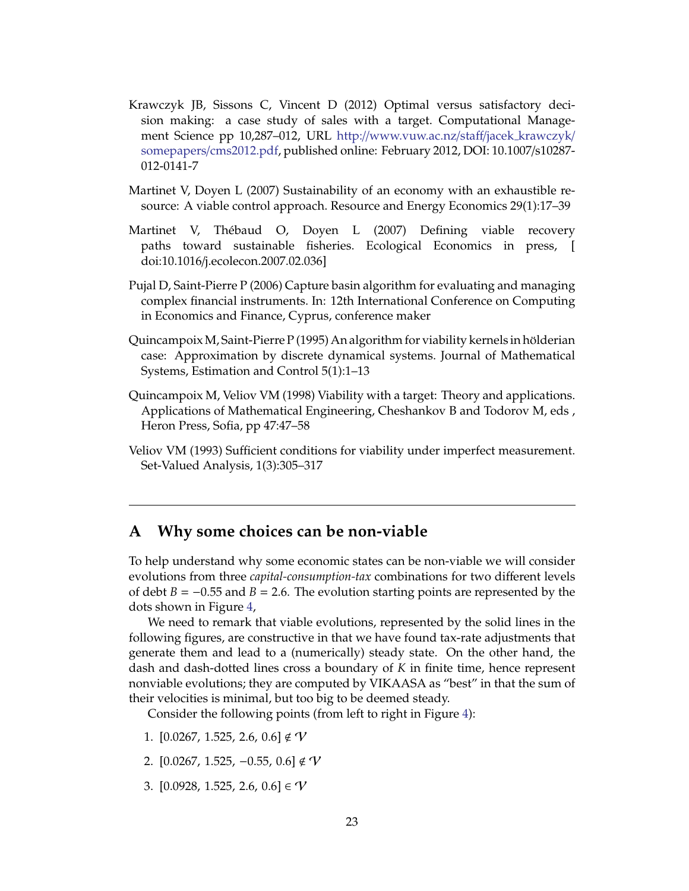- <span id="page-22-3"></span>Krawczyk JB, Sissons C, Vincent D (2012) Optimal versus satisfactory decision making: a case study of sales with a target. Computational Management Science pp 10,287–012, URL http://[www.vuw.ac.nz](http://www.vuw.ac.nz/staff/jacek_krawczyk/somepapers/cms2012.pdf)/staff/jacek krawczyk/ somepapers/[cms2012.pdf,](http://www.vuw.ac.nz/staff/jacek_krawczyk/somepapers/cms2012.pdf) published online: February 2012, DOI: 10.1007/s10287- 012-0141-7
- <span id="page-22-0"></span>Martinet V, Doyen L (2007) Sustainability of an economy with an exhaustible resource: A viable control approach. Resource and Energy Economics 29(1):17–39
- <span id="page-22-1"></span>Martinet V, Thebaud O, Doyen L (2007) Defining viable recovery ´ paths toward sustainable fisheries. Ecological Economics in press, [ doi:10.1016/j.ecolecon.2007.02.036]
- <span id="page-22-2"></span>Pujal D, Saint-Pierre P (2006) Capture basin algorithm for evaluating and managing complex financial instruments. In: 12th International Conference on Computing in Economics and Finance, Cyprus, conference maker
- <span id="page-22-6"></span>Quincampoix M, Saint-Pierre P (1995) An algorithm for viability kernels in hölderian case: Approximation by discrete dynamical systems. Journal of Mathematical Systems, Estimation and Control 5(1):1–13
- <span id="page-22-4"></span>Quincampoix M, Veliov VM (1998) Viability with a target: Theory and applications. Applications of Mathematical Engineering, Cheshankov B and Todorov M, eds , Heron Press, Sofia, pp 47:47–58
- <span id="page-22-5"></span>Veliov VM (1993) Sufficient conditions for viability under imperfect measurement. Set-Valued Analysis, 1(3):305–317

## <span id="page-22-7"></span>**A Why some choices can be non-viable**

To help understand why some economic states can be non-viable we will consider evolutions from three *capital-consumption-tax* combinations for two different levels of debt  $B = -0.55$  and  $B = 2.6$ . The evolution starting points are represented by the dots shown in Figure [4,](#page-14-0)

We need to remark that viable evolutions, represented by the solid lines in the following figures, are constructive in that we have found tax-rate adjustments that generate them and lead to a (numerically) steady state. On the other hand, the dash and dash-dotted lines cross a boundary of *K* in finite time, hence represent nonviable evolutions; they are computed by VIKAASA as "best" in that the sum of their velocities is minimal, but too big to be deemed steady.

Consider the following points (from left to right in Figure [4\)](#page-14-0):

- 1.  $[0.0267, 1.525, 2.6, 0.6] \notin \mathcal{V}$
- 2.  $[0.0267, 1.525, -0.55, 0.6]$ ∉  $\mathcal V$
- 3.  $[0.0928, 1.525, 2.6, 0.6] \in \mathcal{V}$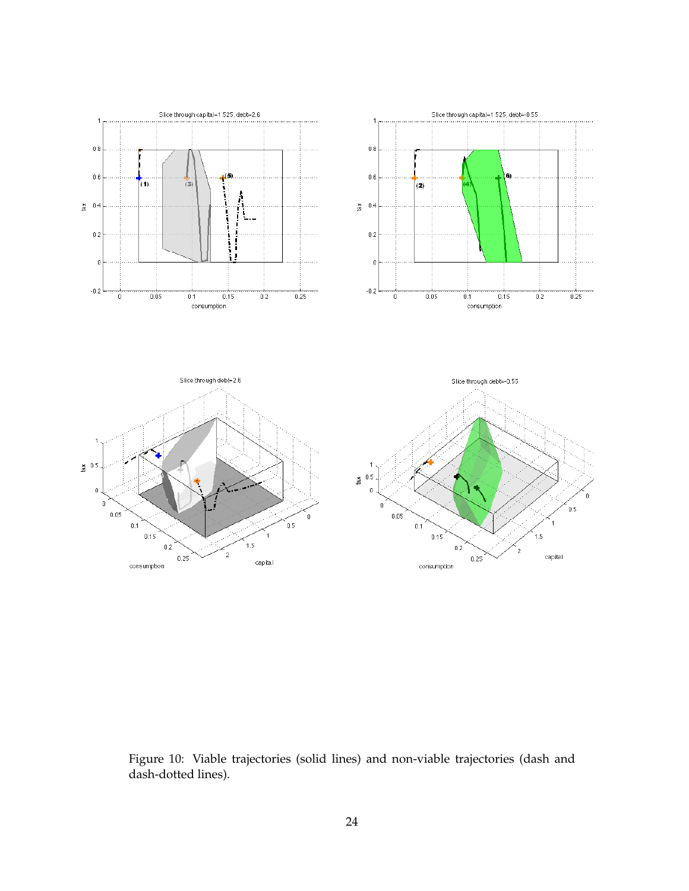

<span id="page-23-0"></span>Figure 10: Viable trajectories (solid lines) and non-viable trajectories (dash and dash-dotted lines).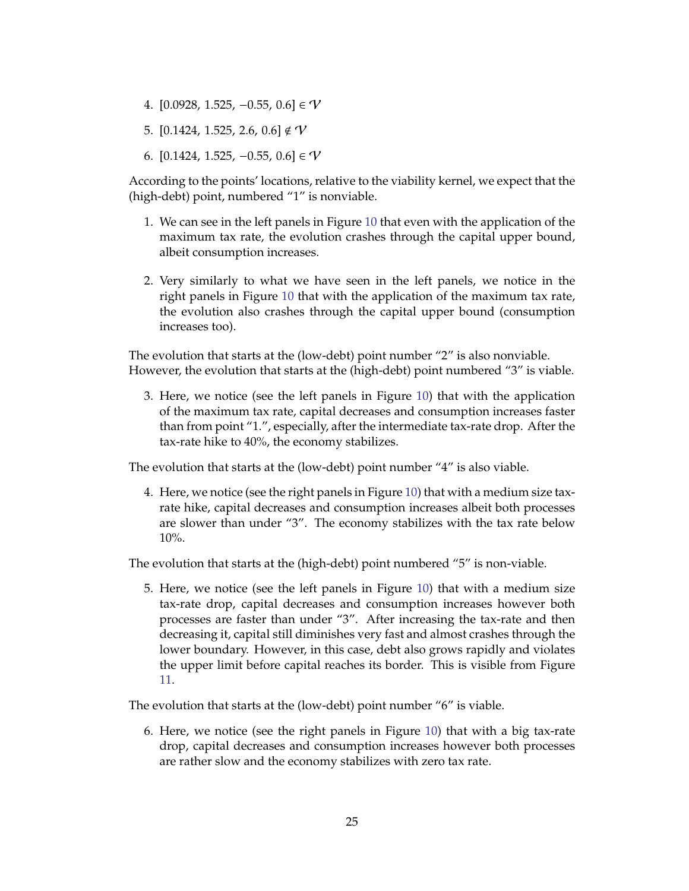- 4.  $[0.0928, 1.525, -0.55, 0.6] \in V$
- 5.  $[0.1424, 1.525, 2.6, 0.6] \notin V$
- 6.  $[0.1424, 1.525, -0.55, 0.6] \in \mathcal{V}$

According to the points' locations, relative to the viability kernel, we expect that the (high-debt) point, numbered "1" is nonviable.

- 1. We can see in the left panels in Figure [10](#page-23-0) that even with the application of the maximum tax rate, the evolution crashes through the capital upper bound, albeit consumption increases.
- 2. Very similarly to what we have seen in the left panels, we notice in the right panels in Figure [10](#page-23-0) that with the application of the maximum tax rate, the evolution also crashes through the capital upper bound (consumption increases too).

The evolution that starts at the (low-debt) point number "2" is also nonviable. However, the evolution that starts at the (high-debt) point numbered "3" is viable.

3. Here, we notice (see the left panels in Figure [10\)](#page-23-0) that with the application of the maximum tax rate, capital decreases and consumption increases faster than from point "1.", especially, after the intermediate tax-rate drop. After the tax-rate hike to 40%, the economy stabilizes.

The evolution that starts at the (low-debt) point number "4" is also viable.

4. Here, we notice (see the right panels in Figure [10\)](#page-23-0) that with a medium size taxrate hike, capital decreases and consumption increases albeit both processes are slower than under "3". The economy stabilizes with the tax rate below 10%.

The evolution that starts at the (high-debt) point numbered "5" is non-viable.

5. Here, we notice (see the left panels in Figure [10\)](#page-23-0) that with a medium size tax-rate drop, capital decreases and consumption increases however both processes are faster than under "3". After increasing the tax-rate and then decreasing it, capital still diminishes very fast and almost crashes through the lower boundary. However, in this case, debt also grows rapidly and violates the upper limit before capital reaches its border. This is visible from Figure [11.](#page-25-0)

The evolution that starts at the (low-debt) point number "6" is viable.

6. Here, we notice (see the right panels in Figure [10\)](#page-23-0) that with a big tax-rate drop, capital decreases and consumption increases however both processes are rather slow and the economy stabilizes with zero tax rate.